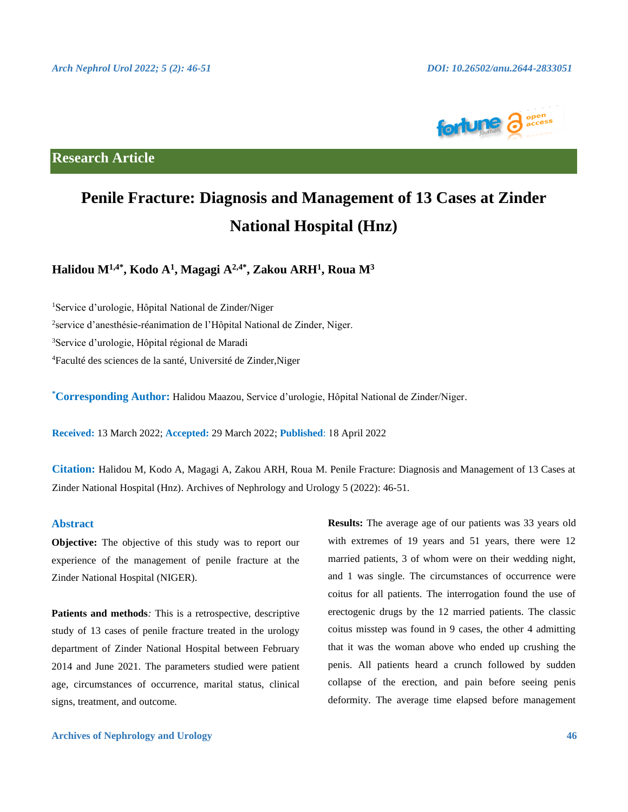

## **Research Article**

# **Penile Fracture: Diagnosis and Management of 13 Cases at Zinder National Hospital (Hnz)**

**Halidou M1,4\*, Kodo A1, Magagi A2,4\*, Zakou ARH1, Roua M3**

1 Service d'urologie, Hôpital National de Zinder/Niger <sup>2</sup>service d'anesthésie-réanimation de l'Hôpital National de Zinder, Niger. <sup>3</sup>Service d'urologie, Hôpital régional de Maradi 4 Faculté des sciences de la santé, Université de Zinder,Niger

**\* Corresponding Author:** Halidou Maazou, Service d'urologie, Hôpital National de Zinder/Niger.

**Received:** 13 March 2022; **Accepted:** 29 March 2022; **Published**: 18 April 2022

**Citation:** Halidou M, Kodo A, Magagi A, Zakou ARH, Roua M. Penile Fracture: Diagnosis and Management of 13 Cases at Zinder National Hospital (Hnz). Archives of Nephrology and Urology 5 (2022): 46-51.

### **Abstract**

**Objective:** The objective of this study was to report our experience of the management of penile fracture at the Zinder National Hospital (NIGER).

**Patients and methods***:* This is a retrospective, descriptive study of 13 cases of penile fracture treated in the urology department of Zinder National Hospital between February 2014 and June 2021. The parameters studied were patient age, circumstances of occurrence, marital status, clinical signs, treatment, and outcome.

**Results:** The average age of our patients was 33 years old with extremes of 19 years and 51 years, there were 12 married patients, 3 of whom were on their wedding night, and 1 was single. The circumstances of occurrence were coitus for all patients. The interrogation found the use of erectogenic drugs by the 12 married patients. The classic coitus misstep was found in 9 cases, the other 4 admitting that it was the woman above who ended up crushing the penis. All patients heard a crunch followed by sudden collapse of the erection, and pain before seeing penis deformity. The average time elapsed before management

#### **Archives of Nephrology and Urology 46**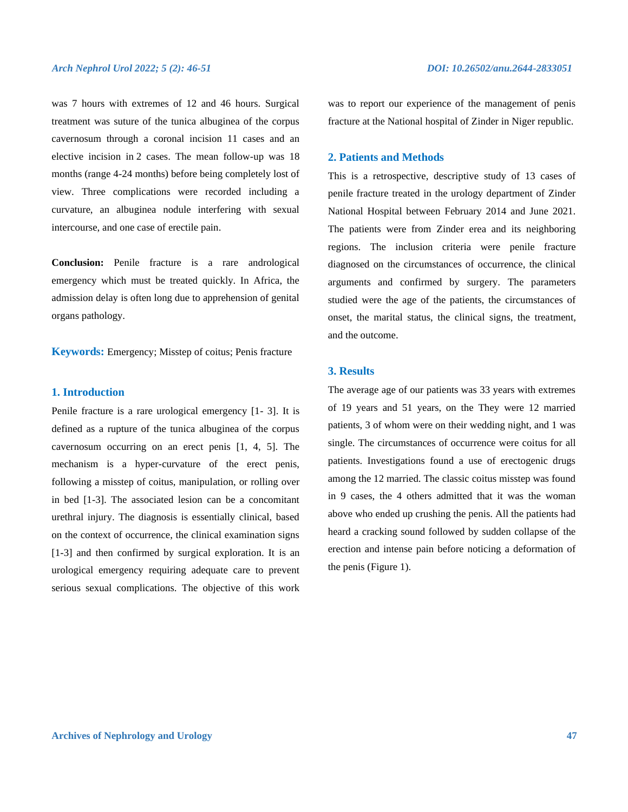#### *Arch Nephrol Urol 2022; 5 (2): 46-51 DOI: 10.26502/anu.2644-2833051*

was 7 hours with extremes of 12 and 46 hours. Surgical treatment was suture of the tunica albuginea of the corpus cavernosum through a coronal incision 11 cases and an elective incision in 2 cases. The mean follow-up was 18 months (range 4-24 months) before being completely lost of view. Three complications were recorded including a curvature, an albuginea nodule interfering with sexual intercourse, and one case of erectile pain.

**Conclusion:** Penile fracture is a rare andrological emergency which must be treated quickly. In Africa, the admission delay is often long due to apprehension of genital organs pathology.

**Keywords:** Emergency; Misstep of coitus; Penis fracture

#### **1. Introduction**

Penile fracture is a rare urological emergency [1- 3]. It is defined as a rupture of the tunica albuginea of the corpus cavernosum occurring on an erect penis [1, 4, 5]. The mechanism is a hyper-curvature of the erect penis, following a misstep of coitus, manipulation, or rolling over in bed [1-3]. The associated lesion can be a concomitant urethral injury. The diagnosis is essentially clinical, based on the context of occurrence, the clinical examination signs [1-3] and then confirmed by surgical exploration. It is an urological emergency requiring adequate care to prevent serious sexual complications. The objective of this work

was to report our experience of the management of penis fracture at the National hospital of Zinder in Niger republic.

#### **2. Patients and Methods**

This is a retrospective, descriptive study of 13 cases of penile fracture treated in the urology department of Zinder National Hospital between February 2014 and June 2021. The patients were from Zinder erea and its neighboring regions. The inclusion criteria were penile fracture diagnosed on the circumstances of occurrence, the clinical arguments and confirmed by surgery. The parameters studied were the age of the patients, the circumstances of onset, the marital status, the clinical signs, the treatment, and the outcome.

### **3. Results**

The average age of our patients was 33 years with extremes of 19 years and 51 years, on the They were 12 married patients, 3 of whom were on their wedding night, and 1 was single. The circumstances of occurrence were coitus for all patients. Investigations found a use of erectogenic drugs among the 12 married. The classic coitus misstep was found in 9 cases, the 4 others admitted that it was the woman above who ended up crushing the penis. All the patients had heard a cracking sound followed by sudden collapse of the erection and intense pain before noticing a deformation of the penis (Figure 1).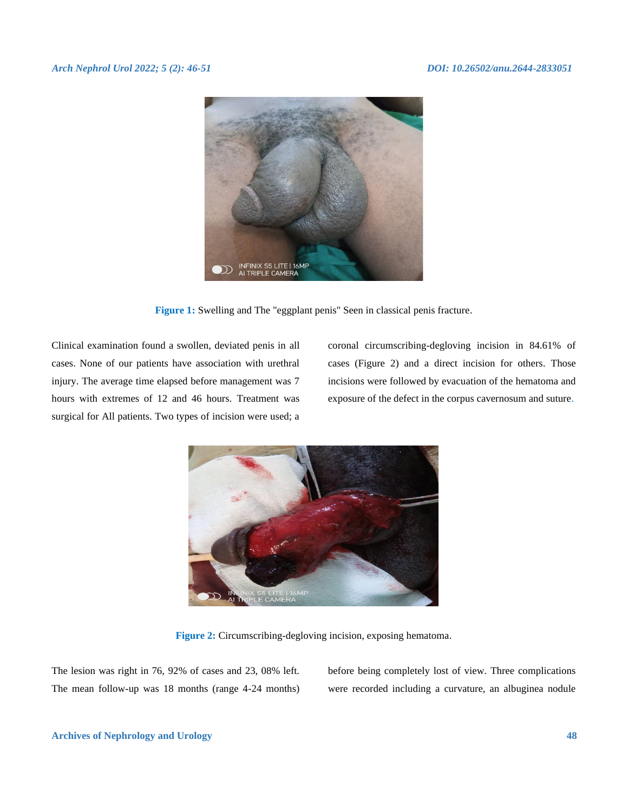#### *Arch Nephrol Urol 2022; 5 (2): 46-51 DOI: 10.26502/anu.2644-2833051*



**Figure 1:** Swelling and The "eggplant penis" Seen in classical penis fracture.

Clinical examination found a swollen, deviated penis in all cases. None of our patients have association with urethral injury. The average time elapsed before management was 7 hours with extremes of 12 and 46 hours. Treatment was surgical for All patients. Two types of incision were used; a

coronal circumscribing-degloving incision in 84.61% of cases (Figure 2) and a direct incision for others. Those incisions were followed by evacuation of the hematoma and exposure of the defect in the corpus cavernosum and suture.



**Figure 2:** Circumscribing-degloving incision, exposing hematoma.

The lesion was right in 76, 92% of cases and 23, 08% left. The mean follow-up was 18 months (range 4-24 months) before being completely lost of view. Three complications were recorded including a curvature, an albuginea nodule

#### **Archives of Nephrology and Urology 48**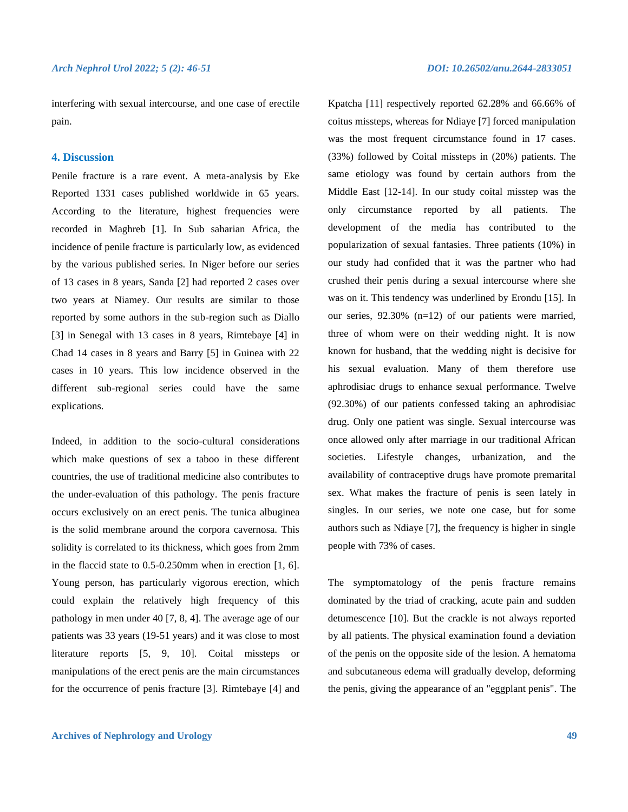interfering with sexual intercourse, and one case of erectile pain.

#### **4. Discussion**

Penile fracture is a rare event. A meta-analysis by Eke Reported 1331 cases published worldwide in 65 years. According to the literature, highest frequencies were recorded in Maghreb [1]. In Sub saharian Africa, the incidence of penile fracture is particularly low, as evidenced by the various published series. In Niger before our series of 13 cases in 8 years, Sanda [2] had reported 2 cases over two years at Niamey. Our results are similar to those reported by some authors in the sub-region such as Diallo [3] in Senegal with 13 cases in 8 years, Rimtebaye [4] in Chad 14 cases in 8 years and Barry [5] in Guinea with 22 cases in 10 years. This low incidence observed in the different sub-regional series could have the same explications.

Indeed, in addition to the socio-cultural considerations which make questions of sex a taboo in these different countries, the use of traditional medicine also contributes to the under-evaluation of this pathology. The penis fracture occurs exclusively on an erect penis. The tunica albuginea is the solid membrane around the corpora cavernosa. This solidity is correlated to its thickness, which goes from 2mm in the flaccid state to 0.5-0.250mm when in erection [1, 6]. Young person, has particularly vigorous erection, which could explain the relatively high frequency of this pathology in men under 40 [7, 8, 4]. The average age of our patients was 33 years (19-51 years) and it was close to most literature reports [5, 9, 10]. Coital missteps or manipulations of the erect penis are the main circumstances for the occurrence of penis fracture [3]. Rimtebaye [4] and

Kpatcha [11] respectively reported 62.28% and 66.66% of coitus missteps, whereas for Ndiaye [7] forced manipulation was the most frequent circumstance found in 17 cases. (33%) followed by Coital missteps in (20%) patients. The same etiology was found by certain authors from the Middle East [12-14]. In our study coital misstep was the only circumstance reported by all patients. The development of the media has contributed to the popularization of sexual fantasies. Three patients (10%) in our study had confided that it was the partner who had crushed their penis during a sexual intercourse where she was on it. This tendency was underlined by Erondu [15]. In our series, 92.30% (n=12) of our patients were married, three of whom were on their wedding night. It is now known for husband, that the wedding night is decisive for his sexual evaluation. Many of them therefore use aphrodisiac drugs to enhance sexual performance. Twelve (92.30%) of our patients confessed taking an aphrodisiac drug. Only one patient was single. Sexual intercourse was once allowed only after marriage in our traditional African societies. Lifestyle changes, urbanization, and the availability of contraceptive drugs have promote premarital sex. What makes the fracture of penis is seen lately in singles. In our series, we note one case, but for some authors such as Ndiaye [7], the frequency is higher in single people with 73% of cases.

The symptomatology of the penis fracture remains dominated by the triad of cracking, acute pain and sudden detumescence [10]. But the crackle is not always reported by all patients. The physical examination found a deviation of the penis on the opposite side of the lesion. A hematoma and subcutaneous edema will gradually develop, deforming the penis, giving the appearance of an "eggplant penis". The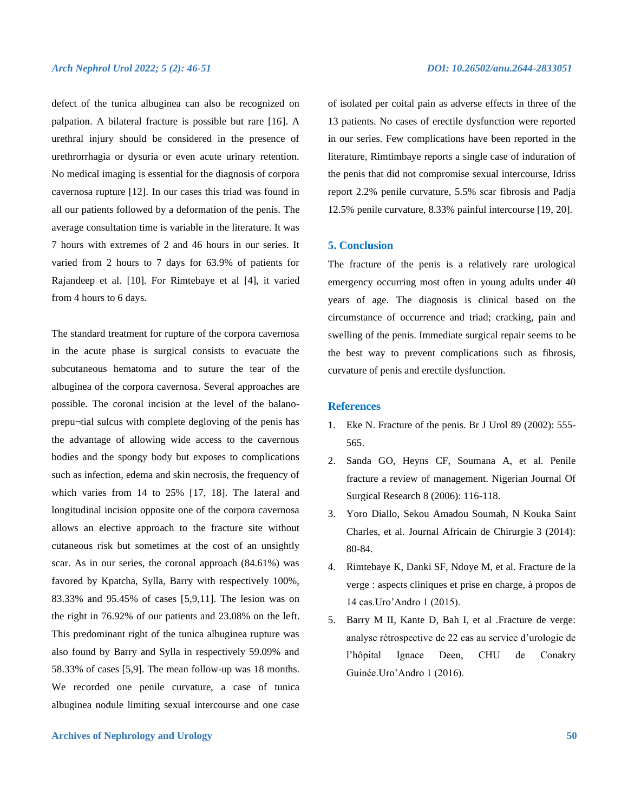defect of the tunica albuginea can also be recognized on palpation. A bilateral fracture is possible but rare [16]. A urethral injury should be considered in the presence of urethrorrhagia or dysuria or even acute urinary retention. No medical imaging is essential for the diagnosis of corpora cavernosa rupture [12]. In our cases this triad was found in all our patients followed by a deformation of the penis. The average consultation time is variable in the literature. It was 7 hours with extremes of 2 and 46 hours in our series. It varied from 2 hours to 7 days for 63.9% of patients for Rajandeep et al. [10]. For Rimtebaye et al [4], it varied from 4 hours to 6 days.

The standard treatment for rupture of the corpora cavernosa in the acute phase is surgical consists to evacuate the subcutaneous hematoma and to suture the tear of the albuginea of the corpora cavernosa. Several approaches are possible. The coronal incision at the level of the balanoprepu¬tial sulcus with complete degloving of the penis has the advantage of allowing wide access to the cavernous bodies and the spongy body but exposes to complications such as infection, edema and skin necrosis, the frequency of which varies from 14 to 25% [17, 18]. The lateral and longitudinal incision opposite one of the corpora cavernosa allows an elective approach to the fracture site without cutaneous risk but sometimes at the cost of an unsightly scar. As in our series, the coronal approach (84.61%) was favored by Kpatcha, Sylla, Barry with respectively 100%, 83.33% and 95.45% of cases [5,9,11]. The lesion was on the right in 76.92% of our patients and 23.08% on the left. This predominant right of the tunica albuginea rupture was also found by Barry and Sylla in respectively 59.09% and 58.33% of cases [5,9]. The mean follow-up was 18 months. We recorded one penile curvature, a case of tunica albuginea nodule limiting sexual intercourse and one case

#### **Archives of Nephrology and Urology 50**

of isolated per coital pain as adverse effects in three of the 13 patients. No cases of erectile dysfunction were reported in our series. Few complications have been reported in the literature, Rimtimbaye reports a single case of induration of the penis that did not compromise sexual intercourse, Idriss report 2.2% penile curvature, 5.5% scar fibrosis and Padja 12.5% penile curvature, 8.33% painful intercourse [19, 20].

#### **5. Conclusion**

The fracture of the penis is a relatively rare urological emergency occurring most often in young adults under 40 years of age. The diagnosis is clinical based on the circumstance of occurrence and triad; cracking, pain and swelling of the penis. Immediate surgical repair seems to be the best way to prevent complications such as fibrosis, curvature of penis and erectile dysfunction.

#### **References**

- 1. Eke N. Fracture of the penis. Br J Urol 89 (2002): 555- 565.
- 2. Sanda GO, Heyns CF, Soumana A, et al. Penile fracture a review of management. Nigerian Journal Of Surgical Research 8 (2006): 116-118.
- 3. Yoro Diallo, Sekou Amadou Soumah, N Kouka Saint Charles, et al. Journal Africain de Chirurgie 3 (2014): 80-84.
- 4. Rimtebaye K, Danki SF, Ndoye M, et al. Fracture de la verge : aspects cliniques et prise en charge, à propos de 14 cas.Uro'Andro 1 (2015).
- 5. Barry M II, Kante D, Bah I, et al .Fracture de verge: analyse rétrospective de 22 cas au service d'urologie de l'hôpital Ignace Deen, CHU de Conakry Guinée.Uro'Andro 1 (2016).